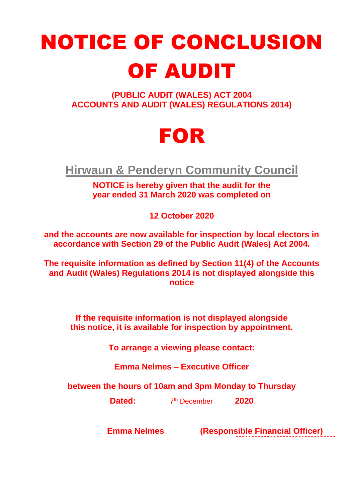## NOTICE OF CONCLUSION OF AUDIT

**(PUBLIC AUDIT (WALES) ACT 2004 ACCOUNTS AND AUDIT (WALES) REGULATIONS 2014)**

## FOR

**Hirwaun & Penderyn Community Council**

**NOTICE is hereby given that the audit for the year ended 31 March 2020 was completed on**

**12 October 2020**

**and the accounts are now available for inspection by local electors in accordance with Section 29 of the Public Audit (Wales) Act 2004.**

**The requisite information as defined by Section 11(4) of the Accounts and Audit (Wales) Regulations 2014 is not displayed alongside this notice**

**If the requisite information is not displayed alongside this notice, it is available for inspection by appointment.**

**To arrange a viewing please contact:**

**Emma Nelmes – Executive Officer**

**between the hours of 10am and 3pm Monday to Thursday**

**Dated:** 7 th December **2020**

 **Emma Nelmes (Responsible Financial Officer)**